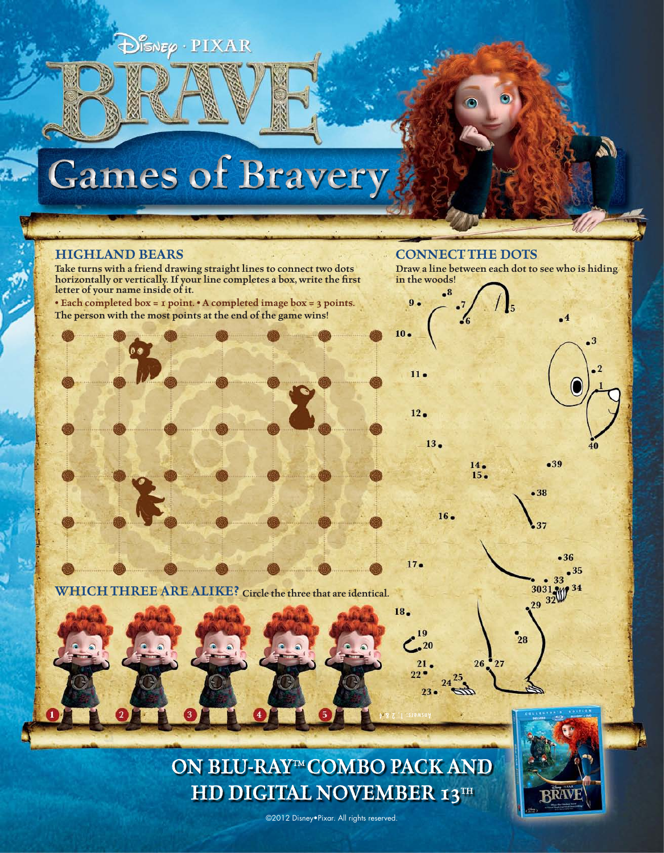$\mathcal{\mathsf{D}}$ isne $\varphi\cdot\mathrm{PIXAR}$ 

## **Games of Bravery**

#### **HIGHLAND BEARS**

**Take turns with a friend drawing straight lines to connect two dots horizontally or vertically. If your line completes a box, write the first letter of your name inside of it. • Each completed box = 1 point. • A completed image box = 3 points.**

**The person with the most points at the end of the game wins!**

#### **CONNECT THE DOTS**

**Draw a line between each dot to see who is hiding in the woods!** 

 $\bullet$ <sup>3</sup>



26 27

 $25$ 

**WHICH THREE ARE ALIKE? Circle the three that are identical.**

## **ON BLU-RAY™ COMBO PACK AND HD DIGITAL NOVEMBER 13TH**

Answers: 1, 2 & 4

18.

19

 $22$ 

 $20$  $21.$ 

 $23 -$ 



 $\degree_{28}$ 

©2012 Disney•Pixar. All rights reserved.